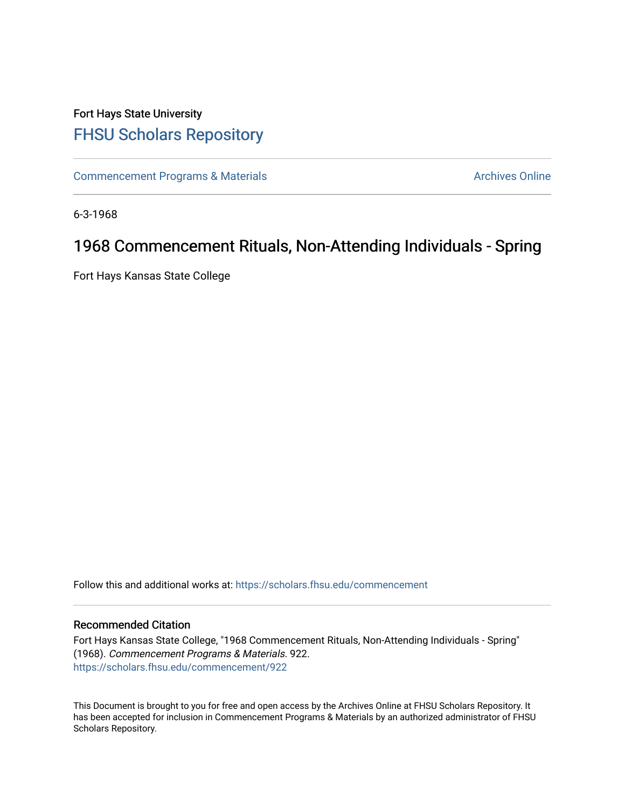## Fort Hays State University [FHSU Scholars Repository](https://scholars.fhsu.edu/)

[Commencement Programs & Materials](https://scholars.fhsu.edu/commencement) **Archives Online** Archives Online

6-3-1968

## 1968 Commencement Rituals, Non-Attending Individuals - Spring

Fort Hays Kansas State College

Follow this and additional works at: [https://scholars.fhsu.edu/commencement](https://scholars.fhsu.edu/commencement?utm_source=scholars.fhsu.edu%2Fcommencement%2F922&utm_medium=PDF&utm_campaign=PDFCoverPages)

## Recommended Citation

Fort Hays Kansas State College, "1968 Commencement Rituals, Non-Attending Individuals - Spring" (1968). Commencement Programs & Materials. 922. [https://scholars.fhsu.edu/commencement/922](https://scholars.fhsu.edu/commencement/922?utm_source=scholars.fhsu.edu%2Fcommencement%2F922&utm_medium=PDF&utm_campaign=PDFCoverPages)

This Document is brought to you for free and open access by the Archives Online at FHSU Scholars Repository. It has been accepted for inclusion in Commencement Programs & Materials by an authorized administrator of FHSU Scholars Repository.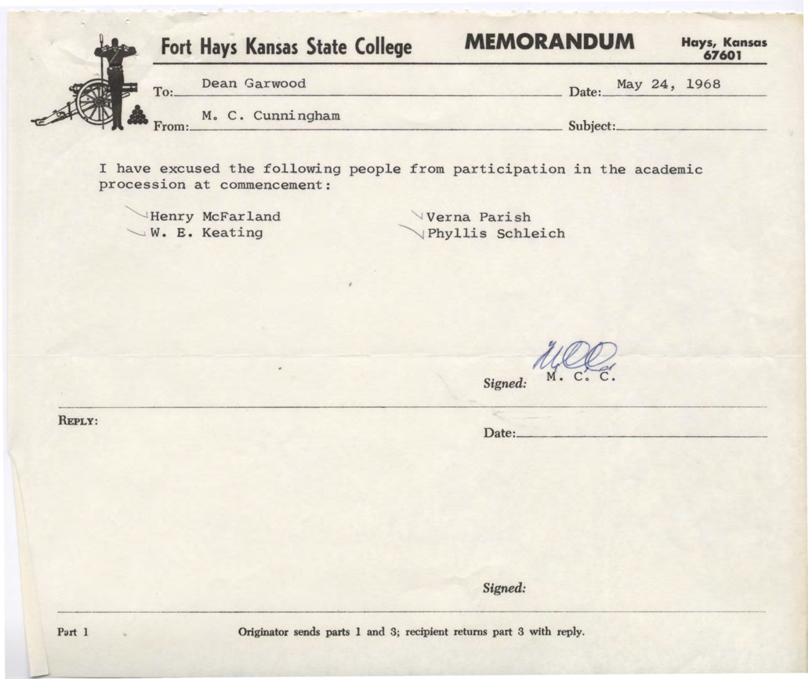| Fort Hays Kansas State College |  |                        | <b>MEMORANDUM</b> |          |  |  | Hays, Kansas<br>67601 |
|--------------------------------|--|------------------------|-------------------|----------|--|--|-----------------------|
| To:                            |  | Dean Garwood           |                   | Date:    |  |  | May 24, 1968          |
|                                |  | From: M. C. Cunningham |                   | Subject: |  |  |                       |

I have excused the following people from participation in the academic procession at commencement:

Henry McFarland  $\searrow$  W. E. Keating

Verna Parish ~ Phyllis Schleich

Signed:

Date:

*Signed:* 

 $\alpha$ 

REPLY:

Originator sends parts 1 and 3; recipient returns part 3 with reply.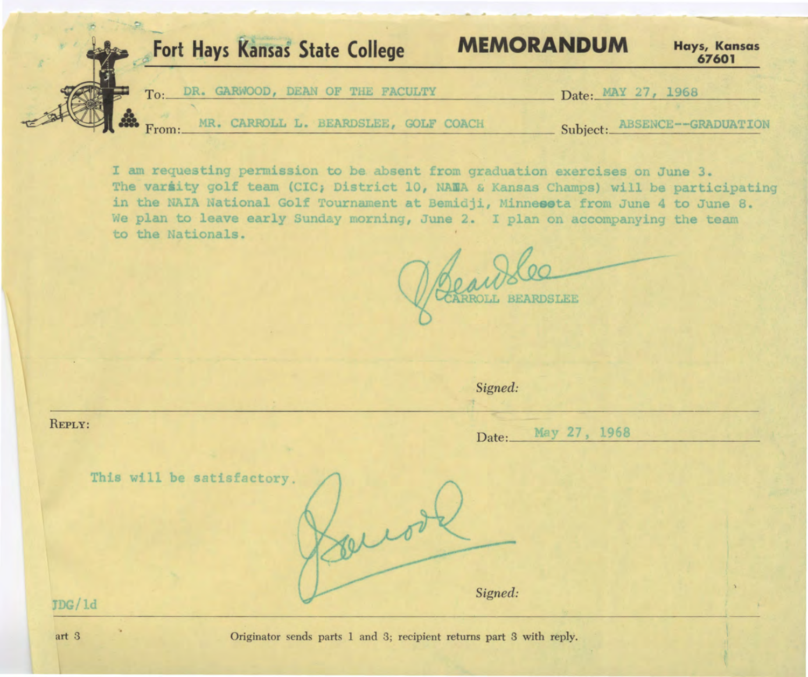

I am requesting permission to be absent from graduation exercises on June 3. The variity golf team (CIC; District 10, NAMA & Kansas Champs) will be participating in the NAIA National Golf Tournament at Bemidji, Minnesota from June 4 to June 8. We plan to leave early Sunday morning, June 2. I plan on accompanying the team to the Nationals.

caulo

|                            | Signed:                |  |  |  |  |  |
|----------------------------|------------------------|--|--|--|--|--|
| REPLY:                     | May 27, 1968<br>Date:_ |  |  |  |  |  |
| This will be satisfactory. | $\sqrt{1}$             |  |  |  |  |  |
| JDG/1d                     | Signed:                |  |  |  |  |  |

Originator sends parts 1 and 3; recipient returns part 3 with reply.

art 3